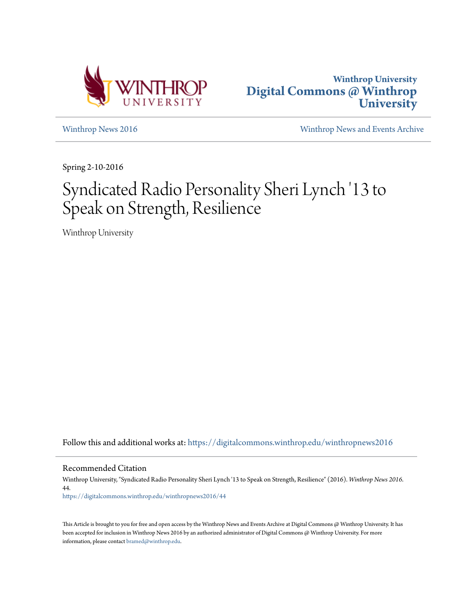



[Winthrop News 2016](https://digitalcommons.winthrop.edu/winthropnews2016?utm_source=digitalcommons.winthrop.edu%2Fwinthropnews2016%2F44&utm_medium=PDF&utm_campaign=PDFCoverPages) [Winthrop News and Events Archive](https://digitalcommons.winthrop.edu/winthropnewsarchives?utm_source=digitalcommons.winthrop.edu%2Fwinthropnews2016%2F44&utm_medium=PDF&utm_campaign=PDFCoverPages)

Spring 2-10-2016

## Syndicated Radio Personality Sheri Lynch '13 to Speak on Strength, Resilience

Winthrop University

Follow this and additional works at: [https://digitalcommons.winthrop.edu/winthropnews2016](https://digitalcommons.winthrop.edu/winthropnews2016?utm_source=digitalcommons.winthrop.edu%2Fwinthropnews2016%2F44&utm_medium=PDF&utm_campaign=PDFCoverPages)

Recommended Citation

Winthrop University, "Syndicated Radio Personality Sheri Lynch '13 to Speak on Strength, Resilience" (2016). *Winthrop News 2016*. 44. [https://digitalcommons.winthrop.edu/winthropnews2016/44](https://digitalcommons.winthrop.edu/winthropnews2016/44?utm_source=digitalcommons.winthrop.edu%2Fwinthropnews2016%2F44&utm_medium=PDF&utm_campaign=PDFCoverPages)

This Article is brought to you for free and open access by the Winthrop News and Events Archive at Digital Commons @ Winthrop University. It has been accepted for inclusion in Winthrop News 2016 by an authorized administrator of Digital Commons @ Winthrop University. For more information, please contact [bramed@winthrop.edu](mailto:bramed@winthrop.edu).